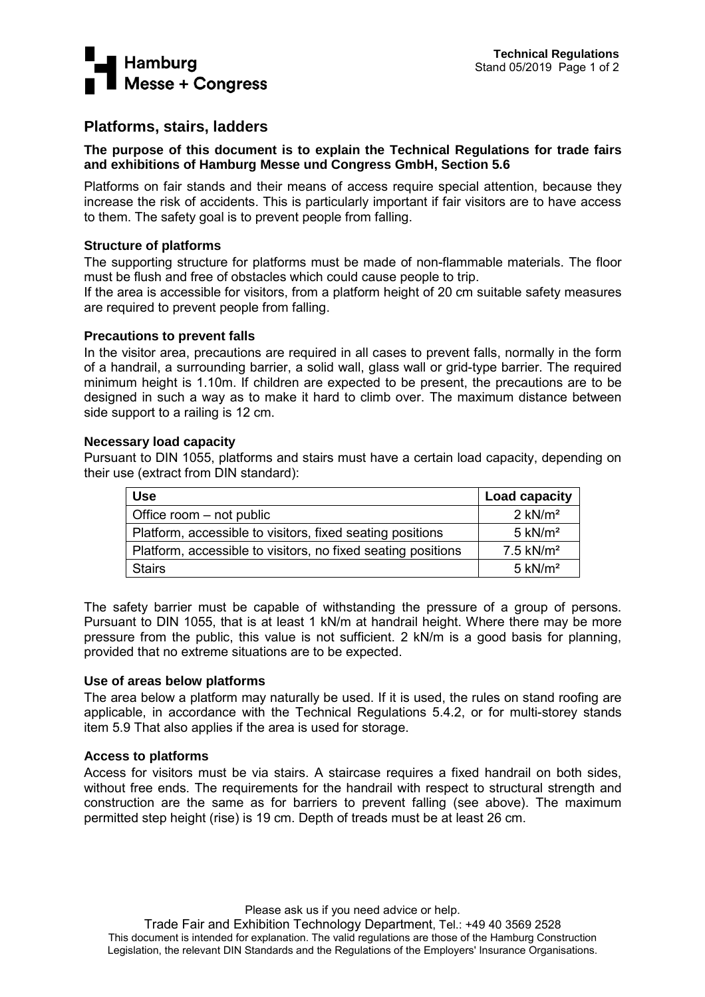

# **Platforms, stairs, ladders**

# **The purpose of this document is to explain the Technical Regulations for trade fairs and exhibitions of Hamburg Messe und Congress GmbH, Section 5.6**

Platforms on fair stands and their means of access require special attention, because they increase the risk of accidents. This is particularly important if fair visitors are to have access to them. The safety goal is to prevent people from falling.

# **Structure of platforms**

The supporting structure for platforms must be made of non-flammable materials. The floor must be flush and free of obstacles which could cause people to trip.

If the area is accessible for visitors, from a platform height of 20 cm suitable safety measures are required to prevent people from falling.

## **Precautions to prevent falls**

In the visitor area, precautions are required in all cases to prevent falls, normally in the form of a handrail, a surrounding barrier, a solid wall, glass wall or grid-type barrier. The required minimum height is 1.10m. If children are expected to be present, the precautions are to be designed in such a way as to make it hard to climb over. The maximum distance between side support to a railing is 12 cm.

## **Necessary load capacity**

Pursuant to DIN 1055, platforms and stairs must have a certain load capacity, depending on their use (extract from DIN standard):

| <b>Use</b>                                                   | Load capacity           |
|--------------------------------------------------------------|-------------------------|
| Office room – not public                                     | $2$ kN/m <sup>2</sup>   |
| Platform, accessible to visitors, fixed seating positions    | $5 \text{ kN/m}^2$      |
| Platform, accessible to visitors, no fixed seating positions | $7.5$ kN/m <sup>2</sup> |
| <b>Stairs</b>                                                | $5 \text{ kN/m}^2$      |

The safety barrier must be capable of withstanding the pressure of a group of persons. Pursuant to DIN 1055, that is at least 1 kN/m at handrail height. Where there may be more pressure from the public, this value is not sufficient. 2 kN/m is a good basis for planning, provided that no extreme situations are to be expected.

## **Use of areas below platforms**

The area below a platform may naturally be used. If it is used, the rules on stand roofing are applicable, in accordance with the Technical Regulations 5.4.2, or for multi-storey stands item 5.9 That also applies if the area is used for storage.

## **Access to platforms**

Access for visitors must be via stairs. A staircase requires a fixed handrail on both sides, without free ends. The requirements for the handrail with respect to structural strength and construction are the same as for barriers to prevent falling (see above). The maximum permitted step height (rise) is 19 cm. Depth of treads must be at least 26 cm.